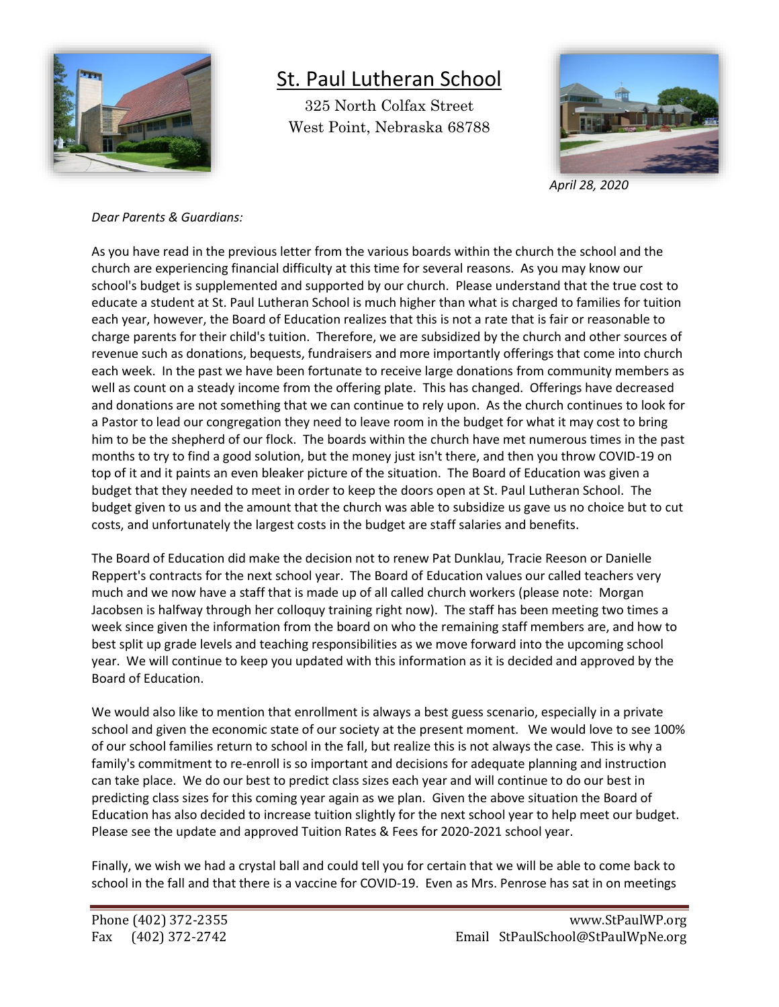

## St. Paul Lutheran School

325 North Colfax Street West Point, Nebraska 68788



*April 28, 2020*

## *Dear Parents & Guardians:*

As you have read in the previous letter from the various boards within the church the school and the church are experiencing financial difficulty at this time for several reasons. As you may know our school's budget is supplemented and supported by our church. Please understand that the true cost to educate a student at St. Paul Lutheran School is much higher than what is charged to families for tuition each year, however, the Board of Education realizes that this is not a rate that is fair or reasonable to charge parents for their child's tuition. Therefore, we are subsidized by the church and other sources of revenue such as donations, bequests, fundraisers and more importantly offerings that come into church each week. In the past we have been fortunate to receive large donations from community members as well as count on a steady income from the offering plate. This has changed. Offerings have decreased and donations are not something that we can continue to rely upon. As the church continues to look for a Pastor to lead our congregation they need to leave room in the budget for what it may cost to bring him to be the shepherd of our flock. The boards within the church have met numerous times in the past months to try to find a good solution, but the money just isn't there, and then you throw COVID-19 on top of it and it paints an even bleaker picture of the situation. The Board of Education was given a budget that they needed to meet in order to keep the doors open at St. Paul Lutheran School. The budget given to us and the amount that the church was able to subsidize us gave us no choice but to cut costs, and unfortunately the largest costs in the budget are staff salaries and benefits.

The Board of Education did make the decision not to renew Pat Dunklau, Tracie Reeson or Danielle Reppert's contracts for the next school year. The Board of Education values our called teachers very much and we now have a staff that is made up of all called church workers (please note: Morgan Jacobsen is halfway through her colloquy training right now). The staff has been meeting two times a week since given the information from the board on who the remaining staff members are, and how to best split up grade levels and teaching responsibilities as we move forward into the upcoming school year. We will continue to keep you updated with this information as it is decided and approved by the Board of Education.

We would also like to mention that enrollment is always a best guess scenario, especially in a private school and given the economic state of our society at the present moment. We would love to see 100% of our school families return to school in the fall, but realize this is not always the case. This is why a family's commitment to re-enroll is so important and decisions for adequate planning and instruction can take place. We do our best to predict class sizes each year and will continue to do our best in predicting class sizes for this coming year again as we plan. Given the above situation the Board of Education has also decided to increase tuition slightly for the next school year to help meet our budget. Please see the update and approved Tuition Rates & Fees for 2020-2021 school year.

Finally, we wish we had a crystal ball and could tell you for certain that we will be able to come back to school in the fall and that there is a vaccine for COVID-19. Even as Mrs. Penrose has sat in on meetings